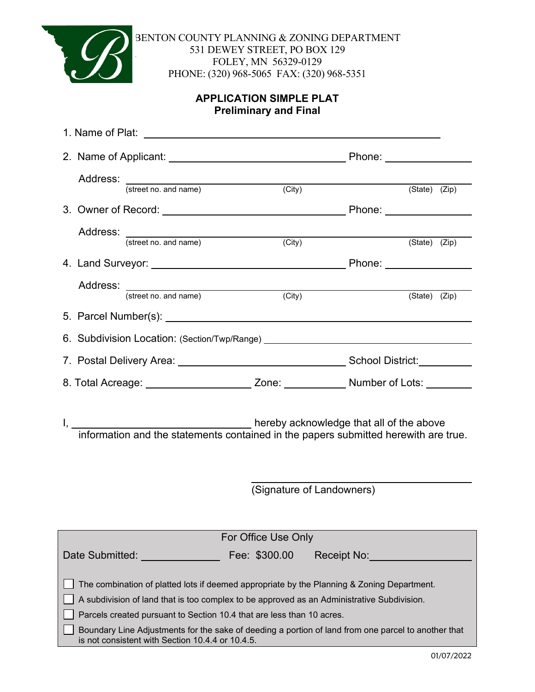

BENTON COUNTY PLANNING & ZONING DEPARTMENT 531 DEWEY STREET, PO BOX 129 FOLEY, MN 56329-0129 PHONE: (320) 968-5065 FAX: (320) 968-5351

# **APPLICATION SIMPLE PLAT Preliminary and Final**

|                                                                                                                                                                                                                                                                                                                                                                          | Address: (street no. and name) (City)                                            |                     | $(\text{State})$ $(\text{Zip})$ |               |  |
|--------------------------------------------------------------------------------------------------------------------------------------------------------------------------------------------------------------------------------------------------------------------------------------------------------------------------------------------------------------------------|----------------------------------------------------------------------------------|---------------------|---------------------------------|---------------|--|
|                                                                                                                                                                                                                                                                                                                                                                          |                                                                                  |                     |                                 |               |  |
|                                                                                                                                                                                                                                                                                                                                                                          | Address: (street no. and name) (City)                                            |                     |                                 |               |  |
|                                                                                                                                                                                                                                                                                                                                                                          |                                                                                  |                     |                                 | (State) (Zip) |  |
|                                                                                                                                                                                                                                                                                                                                                                          |                                                                                  |                     |                                 |               |  |
|                                                                                                                                                                                                                                                                                                                                                                          |                                                                                  |                     |                                 |               |  |
|                                                                                                                                                                                                                                                                                                                                                                          | Address: (street no. and name)                                                   | $\overline{(City)}$ | (State) (Zip)                   |               |  |
|                                                                                                                                                                                                                                                                                                                                                                          |                                                                                  |                     |                                 |               |  |
|                                                                                                                                                                                                                                                                                                                                                                          | 6. Subdivision Location: (Section/Twp/Range) ___________________________________ |                     |                                 |               |  |
|                                                                                                                                                                                                                                                                                                                                                                          |                                                                                  |                     |                                 |               |  |
| 8. Total Acreage: ________________________ Zone: ______________ Number of Lots: ________                                                                                                                                                                                                                                                                                 |                                                                                  |                     |                                 |               |  |
| hereby acknowledge that all of the above contract to the above that all of the above<br>information and the statements contained in the papers submitted herewith are true.                                                                                                                                                                                              |                                                                                  |                     |                                 |               |  |
|                                                                                                                                                                                                                                                                                                                                                                          | (Signature of Landowners)                                                        |                     |                                 |               |  |
|                                                                                                                                                                                                                                                                                                                                                                          |                                                                                  |                     |                                 |               |  |
|                                                                                                                                                                                                                                                                                                                                                                          |                                                                                  |                     |                                 |               |  |
| For Office Use Only                                                                                                                                                                                                                                                                                                                                                      |                                                                                  |                     |                                 |               |  |
| Fee: \$300.00<br>Date Submitted:<br>Receipt No:                                                                                                                                                                                                                                                                                                                          |                                                                                  |                     |                                 |               |  |
| The combination of platted lots if deemed appropriate by the Planning & Zoning Department.<br>A subdivision of land that is too complex to be approved as an Administrative Subdivision.<br>Parcels created pursuant to Section 10.4 that are less than 10 acres.<br>Boundary Line Adjustments for the sake of deeding a portion of land from one parcel to another that |                                                                                  |                     |                                 |               |  |
| is not consistent with Section 10.4.4 or 10.4.5.                                                                                                                                                                                                                                                                                                                         |                                                                                  |                     |                                 |               |  |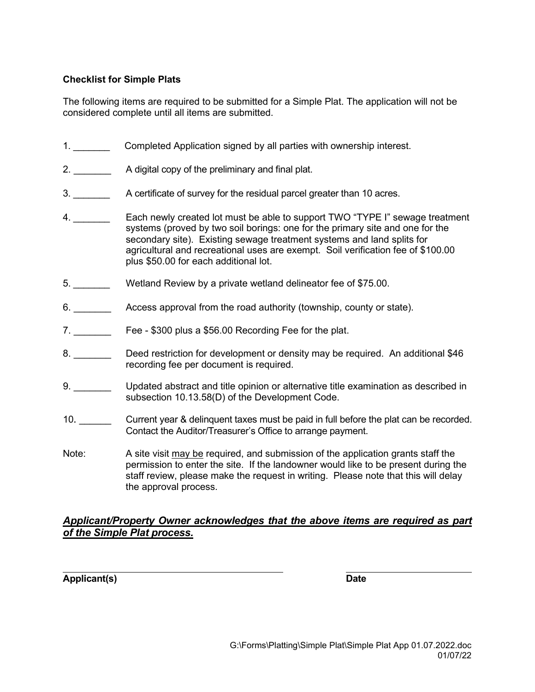## **Checklist for Simple Plats**

The following items are required to be submitted for a Simple Plat. The application will not be considered complete until all items are submitted.

- 1. \_\_\_\_\_\_\_ Completed Application signed by all parties with ownership interest.
- 2. \_\_\_\_\_\_\_\_\_\_\_ A digital copy of the preliminary and final plat.
- 3. \_\_\_\_\_\_\_ A certificate of survey for the residual parcel greater than 10 acres.
- 4. **Each newly created lot must be able to support TWO "TYPE I" sewage treatment** systems (proved by two soil borings: one for the primary site and one for the secondary site). Existing sewage treatment systems and land splits for agricultural and recreational uses are exempt. Soil verification fee of \$100.00 plus \$50.00 for each additional lot.
- 5. \_\_\_\_\_\_\_ Wetland Review by a private wetland delineator fee of \$75.00.
- 6. **Example 3** Access approval from the road authority (township, county or state).
- 7. **Example 2 Fee \$300 plus a \$56.00 Recording Fee for the plat.**
- 8. \_\_\_\_\_\_\_\_ Deed restriction for development or density may be required. An additional \$46 recording fee per document is required.
- 9. **Duated abstract and title opinion or alternative title examination as described in** subsection 10.13.58(D) of the Development Code.
- 10. Current year & delinquent taxes must be paid in full before the plat can be recorded. Contact the Auditor/Treasurer's Office to arrange payment.
- Note: A site visit may be required, and submission of the application grants staff the permission to enter the site. If the landowner would like to be present during the staff review, please make the request in writing. Please note that this will delay the approval process.

## *Applicant/Property Owner acknowledges that the above items are required as part of the Simple Plat process.*

**Applicant(s) Date**